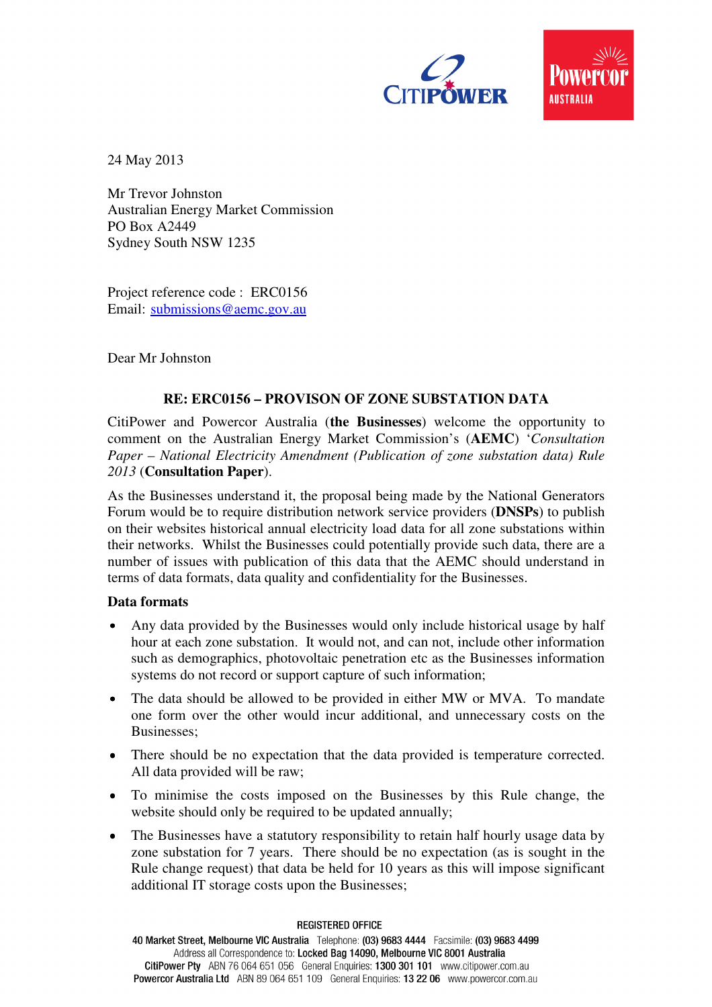



24 May 2013

Mr Trevor Johnston Australian Energy Market Commission PO Box A2449 Sydney South NSW 1235

Project reference code : ERC0156 Email: submissions@aemc.gov.au

Dear Mr Johnston

## **RE: ERC0156 – PROVISON OF ZONE SUBSTATION DATA**

CitiPower and Powercor Australia (**the Businesses**) welcome the opportunity to comment on the Australian Energy Market Commission's (**AEMC**) '*Consultation Paper – National Electricity Amendment (Publication of zone substation data) Rule 2013* (**Consultation Paper**).

As the Businesses understand it, the proposal being made by the National Generators Forum would be to require distribution network service providers (**DNSPs**) to publish on their websites historical annual electricity load data for all zone substations within their networks. Whilst the Businesses could potentially provide such data, there are a number of issues with publication of this data that the AEMC should understand in terms of data formats, data quality and confidentiality for the Businesses.

## **Data formats**

- Any data provided by the Businesses would only include historical usage by half hour at each zone substation. It would not, and can not, include other information such as demographics, photovoltaic penetration etc as the Businesses information systems do not record or support capture of such information;
- The data should be allowed to be provided in either MW or MVA. To mandate one form over the other would incur additional, and unnecessary costs on the Businesses;
- There should be no expectation that the data provided is temperature corrected. All data provided will be raw;
- To minimise the costs imposed on the Businesses by this Rule change, the website should only be required to be updated annually;
- The Businesses have a statutory responsibility to retain half hourly usage data by zone substation for 7 years. There should be no expectation (as is sought in the Rule change request) that data be held for 10 years as this will impose significant additional IT storage costs upon the Businesses;

**REGISTERED OFFICE** 

40 Market Street, Melbourne VIC Australia Telephone: (03) 9683 4444 Facsimile: (03) 9683 4499 Address all Correspondence to: Locked Bag 14090, Melbourne VIC 8001 Australia CitiPower Pty ABN 76 064 651 056 General Enquiries: 1300 301 101 www.citipower.com.au Powercor Australia Ltd ABN 89 064 651 109 General Enquiries: 13 22 06 www.powercor.com.au